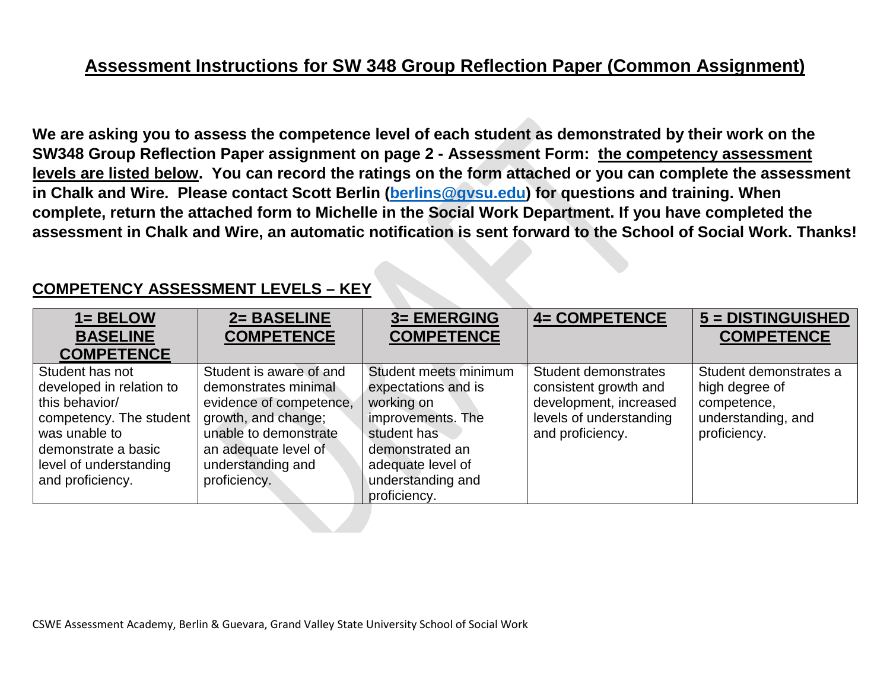# **Assessment Instructions for SW 348 Group Reflection Paper (Common Assignment)**

**We are asking you to assess the competence level of each student as demonstrated by their work on the SW348 Group Reflection Paper assignment on page 2 - Assessment Form: the competency assessment levels are listed below. You can record the ratings on the form attached or you can complete the assessment in Chalk and Wire. Please contact Scott Berlin [\(berlins@gvsu.edu\)](mailto:berlins@gvsu.edu) for questions and training. When complete, return the attached form to Michelle in the Social Work Department. If you have completed the assessment in Chalk and Wire, an automatic notification is sent forward to the School of Social Work. Thanks!**

## **COMPETENCY ASSESSMENT LEVELS – KEY**

| $1 = BELOW$              | 2= BASELINE             | <b>3= EMERGING</b>    | <b>4= COMPETENCE</b>    | 5 = DISTINGUISHED      |
|--------------------------|-------------------------|-----------------------|-------------------------|------------------------|
| <b>BASELINE</b>          | <b>COMPETENCE</b>       | <b>COMPETENCE</b>     |                         | <b>COMPETENCE</b>      |
| <b>COMPETENCE</b>        |                         |                       |                         |                        |
| Student has not          | Student is aware of and | Student meets minimum | Student demonstrates    | Student demonstrates a |
| developed in relation to | demonstrates minimal    | expectations and is   | consistent growth and   | high degree of         |
| this behavior/           | evidence of competence, | working on            | development, increased  | competence,            |
| competency. The student  | growth, and change;     | improvements. The     | levels of understanding | understanding, and     |
| was unable to            | unable to demonstrate   | student has           | and proficiency.        | proficiency.           |
| demonstrate a basic      | an adequate level of    | demonstrated an       |                         |                        |
| level of understanding   | understanding and       | adequate level of     |                         |                        |
| and proficiency.         | proficiency.            | understanding and     |                         |                        |
|                          |                         | proficiency.          |                         |                        |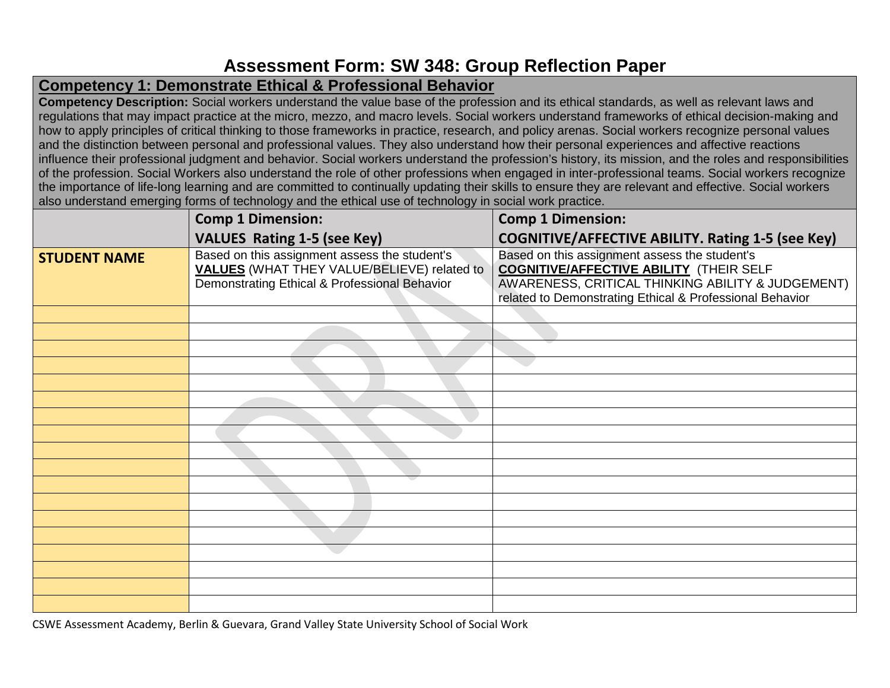## **Assessment Form: SW 348: Group Reflection Paper**

## **Competency 1: Demonstrate Ethical & Professional Behavior**

**Competency Description:** Social workers understand the value base of the profession and its ethical standards, as well as relevant laws and regulations that may impact practice at the micro, mezzo, and macro levels. Social workers understand frameworks of ethical decision-making and how to apply principles of critical thinking to those frameworks in practice, research, and policy arenas. Social workers recognize personal values and the distinction between personal and professional values. They also understand how their personal experiences and affective reactions influence their professional judgment and behavior. Social workers understand the profession's history, its mission, and the roles and responsibilities of the profession. Social Workers also understand the role of other professions when engaged in inter-professional teams. Social workers recognize the importance of life-long learning and are committed to continually updating their skills to ensure they are relevant and effective. Social workers also understand emerging forms of technology and the ethical use of technology in social work practice.

|                     | <b>Comp 1 Dimension:</b>                                                                                                                      | <b>Comp 1 Dimension:</b>                                                                                                                                                                                         |  |
|---------------------|-----------------------------------------------------------------------------------------------------------------------------------------------|------------------------------------------------------------------------------------------------------------------------------------------------------------------------------------------------------------------|--|
|                     | <b>VALUES Rating 1-5 (see Key)</b>                                                                                                            | <b>COGNITIVE/AFFECTIVE ABILITY. Rating 1-5 (see Key)</b>                                                                                                                                                         |  |
| <b>STUDENT NAME</b> | Based on this assignment assess the student's<br>VALUES (WHAT THEY VALUE/BELIEVE) related to<br>Demonstrating Ethical & Professional Behavior | Based on this assignment assess the student's<br><b>COGNITIVE/AFFECTIVE ABILITY (THEIR SELF</b><br>AWARENESS, CRITICAL THINKING ABILITY & JUDGEMENT)<br>related to Demonstrating Ethical & Professional Behavior |  |
|                     |                                                                                                                                               |                                                                                                                                                                                                                  |  |
|                     |                                                                                                                                               |                                                                                                                                                                                                                  |  |
|                     |                                                                                                                                               |                                                                                                                                                                                                                  |  |
|                     |                                                                                                                                               |                                                                                                                                                                                                                  |  |
|                     |                                                                                                                                               |                                                                                                                                                                                                                  |  |
|                     |                                                                                                                                               |                                                                                                                                                                                                                  |  |
|                     |                                                                                                                                               |                                                                                                                                                                                                                  |  |
|                     |                                                                                                                                               |                                                                                                                                                                                                                  |  |
|                     |                                                                                                                                               |                                                                                                                                                                                                                  |  |
|                     |                                                                                                                                               |                                                                                                                                                                                                                  |  |
|                     |                                                                                                                                               |                                                                                                                                                                                                                  |  |
|                     |                                                                                                                                               |                                                                                                                                                                                                                  |  |
|                     |                                                                                                                                               |                                                                                                                                                                                                                  |  |
|                     |                                                                                                                                               |                                                                                                                                                                                                                  |  |
|                     |                                                                                                                                               |                                                                                                                                                                                                                  |  |
|                     |                                                                                                                                               |                                                                                                                                                                                                                  |  |
|                     |                                                                                                                                               |                                                                                                                                                                                                                  |  |
|                     |                                                                                                                                               |                                                                                                                                                                                                                  |  |

CSWE Assessment Academy, Berlin & Guevara, Grand Valley State University School of Social Work